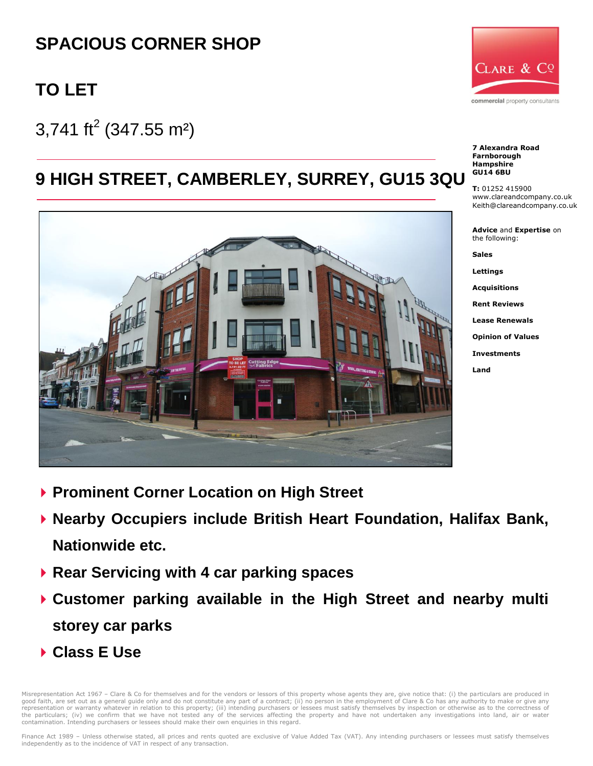# **SPACIOUS CORNER SHOP**

# **TO LET**

 $3,741$  ft<sup>2</sup> (347.55 m<sup>2</sup>)

## **9 HIGH STREET, CAMBERLEY, SURREY, GU15 3QU**





**7 Alexandra Road Farnborough Hampshire GU14 6BU**

**T:** 01252 415900 www.clareandcompany.co.uk Keith@clareandcompany.co.uk

**Advice** and **Expertise** on the following:

**Sales**

**Lettings**

**Acquisitions**

**Rent Reviews**

**Lease Renewals**

**Opinion of Values**

**Investments**

**Land**

- **Prominent Corner Location on High Street**
- **Nearby Occupiers include British Heart Foundation, Halifax Bank, Nationwide etc.**
- **Rear Servicing with 4 car parking spaces**
- **Customer parking available in the High Street and nearby multi storey car parks**
- **Class E Use**

lisrepresentation Act 1967 – Clare & Co for themselves and for the vendors or lessors of this property whose agents they are, give notice that: (i) the particulars are produced in good faith, are set out as a general guide only and do not constitute any part of a contract; (ii) no person in the employment of Clare & Co has any authority to make or give any<br>representation or warranty whatever in rela the particulars; (iv) we confirm that we have not tested any of the services affecting the property and have not undertaken any investigations into land, air or water contamination. Intending purchasers or lessees should make their own enquiries in this regard.

Finance Act 1989 - Unless otherwise stated, all prices and rents quoted are exclusive of Value Added Tax (VAT). Any intending purchasers or lessees must satisfy themselves independently as to the incidence of VAT in respect of any transaction.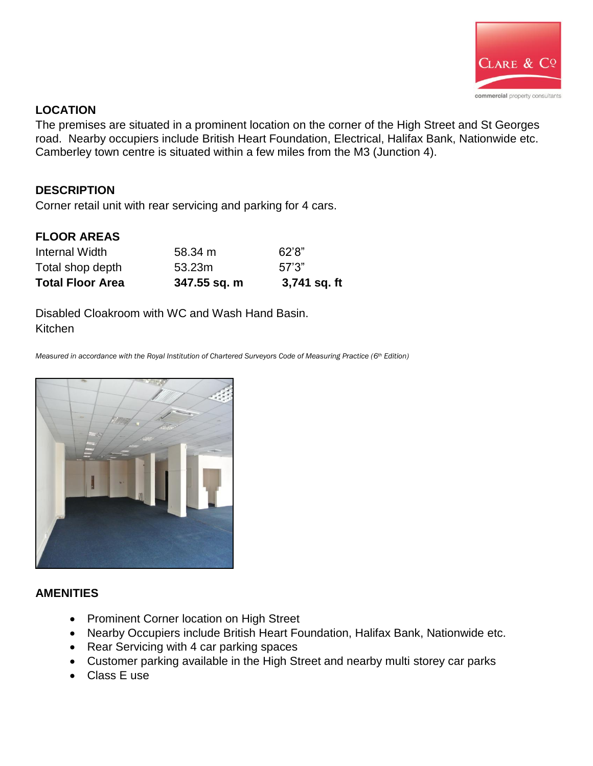

### **LOCATION**

The premises are situated in a prominent location on the corner of the High Street and St Georges road. Nearby occupiers include British Heart Foundation, Electrical, Halifax Bank, Nationwide etc. Camberley town centre is situated within a few miles from the M3 (Junction 4).

### **DESCRIPTION**

Corner retail unit with rear servicing and parking for 4 cars.

#### **FLOOR AREAS**

| <b>Total Floor Area</b> | 347.55 sq. m | 3,741 sq. ft |
|-------------------------|--------------|--------------|
| Total shop depth        | 53.23m       | 57'3"        |
| Internal Width          | 58.34 m      | 62'8"        |

Disabled Cloakroom with WC and Wash Hand Basin. Kitchen

*Measured in accordance with the Royal Institution of Chartered Surveyors Code of Measuring Practice (6th Edition)* 



#### **AMENITIES**

- Prominent Corner location on High Street
- Nearby Occupiers include British Heart Foundation, Halifax Bank, Nationwide etc.
- Rear Servicing with 4 car parking spaces
- Customer parking available in the High Street and nearby multi storey car parks
- Class E use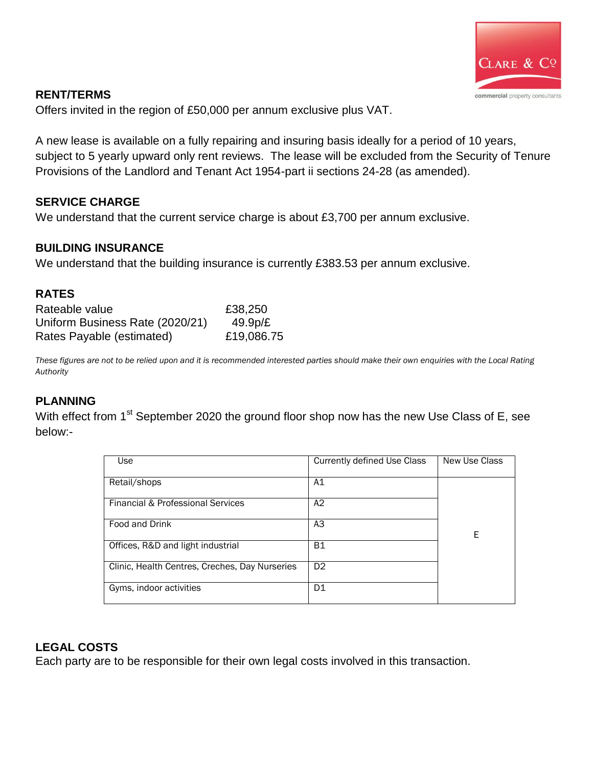

#### **RENT/TERMS**

Offers invited in the region of £50,000 per annum exclusive plus VAT.

A new lease is available on a fully repairing and insuring basis ideally for a period of 10 years, subject to 5 yearly upward only rent reviews. The lease will be excluded from the Security of Tenure Provisions of the Landlord and Tenant Act 1954-part ii sections 24-28 (as amended).

## **SERVICE CHARGE**

We understand that the current service charge is about £3,700 per annum exclusive.

## **BUILDING INSURANCE**

We understand that the building insurance is currently £383.53 per annum exclusive.

#### **RATES**

| Rateable value                  | £38,250    |
|---------------------------------|------------|
| Uniform Business Rate (2020/21) | 49.9p/E    |
| Rates Payable (estimated)       | £19,086.75 |

*These figures are not to be relied upon and it is recommended interested parties should make their own enquiries with the Local Rating Authority*

## **PLANNING**

With effect from 1<sup>st</sup> September 2020 the ground floor shop now has the new Use Class of E, see below:-

| Use                                            | Currently defined Use Class | New Use Class |  |
|------------------------------------------------|-----------------------------|---------------|--|
|                                                |                             |               |  |
| Retail/shops                                   | A1                          |               |  |
|                                                |                             |               |  |
| Financial & Professional Services              | A2                          |               |  |
|                                                |                             |               |  |
| Food and Drink                                 | A3                          |               |  |
|                                                |                             | E             |  |
| Offices, R&D and light industrial              | <b>B1</b>                   |               |  |
|                                                |                             |               |  |
| Clinic, Health Centres, Creches, Day Nurseries | D <sub>2</sub>              |               |  |
|                                                |                             |               |  |
| Gyms, indoor activities                        | D1                          |               |  |
|                                                |                             |               |  |

## **LEGAL COSTS**

Each party are to be responsible for their own legal costs involved in this transaction.